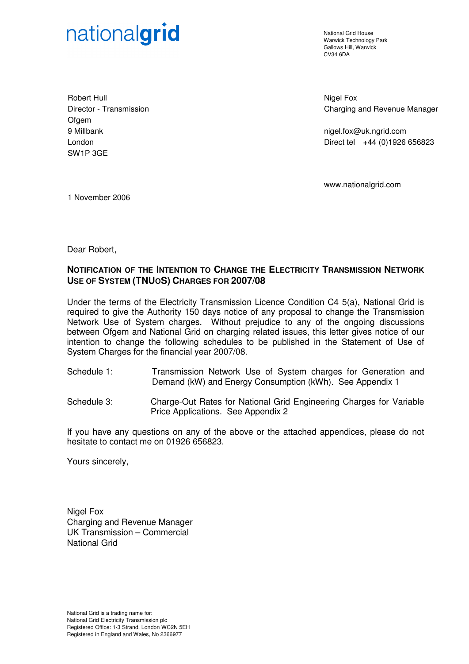# nationalgrid

National Grid House Warwick Technology Park Gallows Hill, Warwick  $C<sub>1</sub>1/34$  6DA

Robert Hull Director - Transmission Ofgem 9 Millbank London SW1P 3GE

Nigel Fox Charging and Revenue Manager

nigel.fox@uk.ngrid.com Direct tel +44 (0)1926 656823

www.nationalgrid.com

1 November 2006

Dear Robert,

### **NOTIFICATION OF THE INTENTION TO CHANGE THE ELECTRICITY TRANSMISSION NETWORK USE OF SYSTEM (TNUOS) CHARGES FOR 2007/08**

Under the terms of the Electricity Transmission Licence Condition C4 5(a), National Grid is required to give the Authority 150 days notice of any proposal to change the Transmission Network Use of System charges. Without prejudice to any of the ongoing discussions between Ofgem and National Grid on charging related issues, this letter gives notice of our intention to change the following schedules to be published in the Statement of Use of System Charges for the financial year 2007/08.

- Schedule 1: Transmission Network Use of System charges for Generation and Demand (kW) and Energy Consumption (kWh). See Appendix 1
- Schedule 3: Charge-Out Rates for National Grid Engineering Charges for Variable Price Applications. See Appendix 2

If you have any questions on any of the above or the attached appendices, please do not hesitate to contact me on 01926 656823.

Yours sincerely,

Nigel Fox Charging and Revenue Manager UK Transmission – Commercial National Grid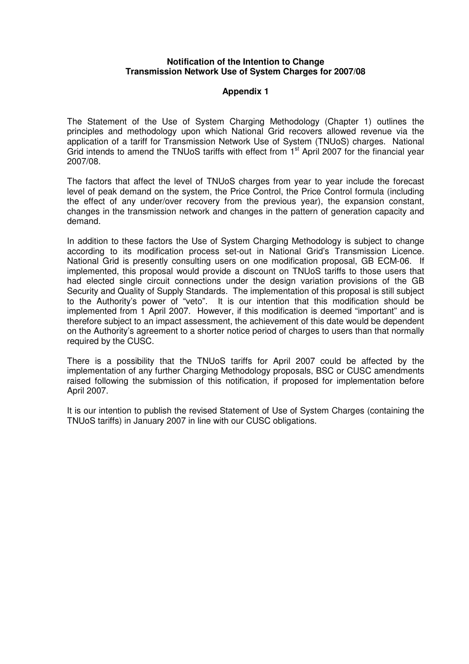#### **Notification of the Intention to Change Transmission Network Use of System Charges for 2007/08**

#### **Appendix 1**

The Statement of the Use of System Charging Methodology (Chapter 1) outlines the principles and methodology upon which National Grid recovers allowed revenue via the application of a tariff for Transmission Network Use of System (TNUoS) charges. National Grid intends to amend the TNUoS tariffs with effect from 1<sup>st</sup> April 2007 for the financial year 2007/08.

The factors that affect the level of TNUoS charges from year to year include the forecast level of peak demand on the system, the Price Control, the Price Control formula (including the effect of any under/over recovery from the previous year), the expansion constant, changes in the transmission network and changes in the pattern of generation capacity and demand.

In addition to these factors the Use of System Charging Methodology is subject to change according to its modification process set-out in National Grid's Transmission Licence. National Grid is presently consulting users on one modification proposal, GB ECM-06. If implemented, this proposal would provide a discount on TNUoS tariffs to those users that had elected single circuit connections under the design variation provisions of the GB Security and Quality of Supply Standards. The implementation of this proposal is still subject to the Authority's power of "veto". It is our intention that this modification should be implemented from 1 April 2007. However, if this modification is deemed "important" and is therefore subject to an impact assessment, the achievement of this date would be dependent on the Authority's agreement to a shorter notice period of charges to users than that normally required by the CUSC.

There is a possibility that the TNUoS tariffs for April 2007 could be affected by the implementation of any further Charging Methodology proposals, BSC or CUSC amendments raised following the submission of this notification, if proposed for implementation before April 2007.

It is our intention to publish the revised Statement of Use of System Charges (containing the TNUoS tariffs) in January 2007 in line with our CUSC obligations.